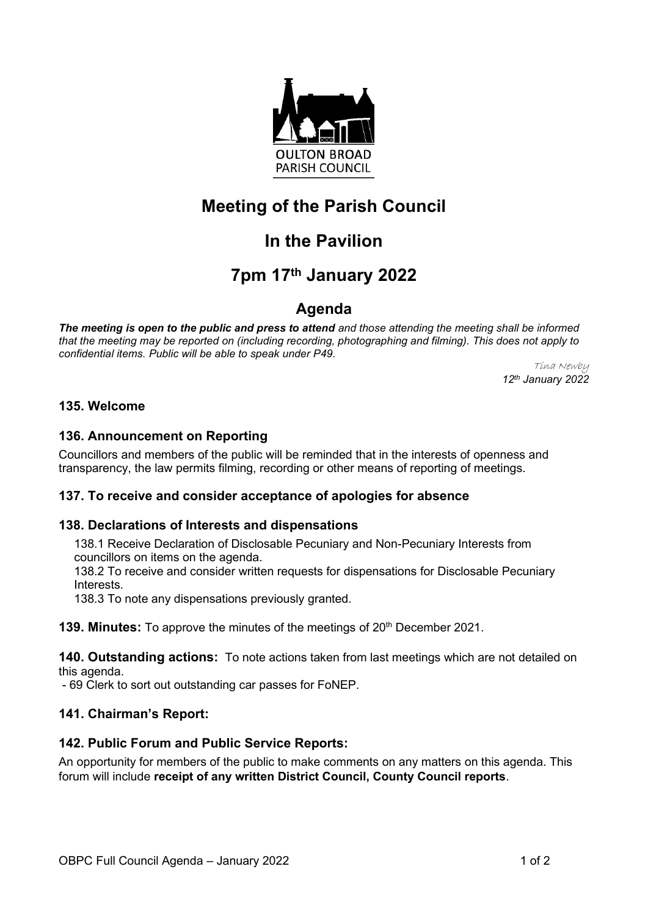

# **Meeting of the Parish Council**

# **In the Pavilion**

# **7pm 17th January 2022**

# **Agenda**

*The meeting is open to the public and press to attend and those attending the meeting shall be informed that the meeting may be reported on (including recording, photographing and filming). This does not apply to confidential items. Public will be able to speak under P49.*

Tina Newby *12th January 2022*

## **135. Welcome**

## **136. Announcement on Reporting**

Councillors and members of the public will be reminded that in the interests of openness and transparency, the law permits filming, recording or other means of reporting of meetings.

### **137. To receive and consider acceptance of apologies for absence**

### **138. Declarations of Interests and dispensations**

138.1 Receive Declaration of Disclosable Pecuniary and Non-Pecuniary Interests from councillors on items on the agenda.

138.2 To receive and consider written requests for dispensations for Disclosable Pecuniary Interests.

138.3 To note any dispensations previously granted.

**139. Minutes:** To approve the minutes of the meetings of 20<sup>th</sup> December 2021.

**140. Outstanding actions:** To note actions taken from last meetings which are not detailed on this agenda.

- 69 Clerk to sort out outstanding car passes for FoNEP.

### **141. Chairman's Report:**

### **142. Public Forum and Public Service Reports:**

An opportunity for members of the public to make comments on any matters on this agenda. This forum will include **receipt of any written District Council, County Council reports**.